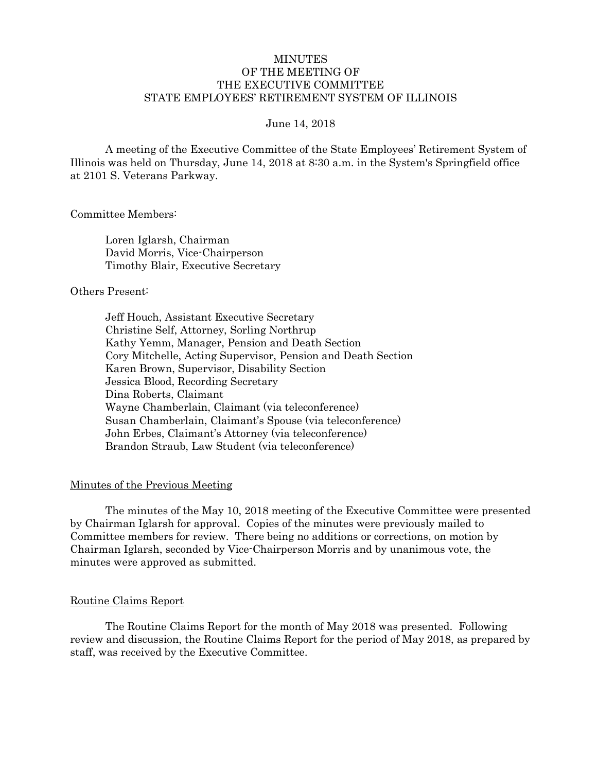## MINUTES OF THE MEETING OF THE EXECUTIVE COMMITTEE STATE EMPLOYEES' RETIREMENT SYSTEM OF ILLINOIS

#### June 14, 2018

A meeting of the Executive Committee of the State Employees' Retirement System of Illinois was held on Thursday, June 14, 2018 at 8:30 a.m. in the System's Springfield office at 2101 S. Veterans Parkway.

Committee Members:

Loren Iglarsh, Chairman David Morris, Vice-Chairperson Timothy Blair, Executive Secretary

#### Others Present:

Jeff Houch, Assistant Executive Secretary Christine Self, Attorney, Sorling Northrup Kathy Yemm, Manager, Pension and Death Section Cory Mitchelle, Acting Supervisor, Pension and Death Section Karen Brown, Supervisor, Disability Section Jessica Blood, Recording Secretary Dina Roberts, Claimant Wayne Chamberlain, Claimant (via teleconference) Susan Chamberlain, Claimant's Spouse (via teleconference) John Erbes, Claimant's Attorney (via teleconference) Brandon Straub, Law Student (via teleconference)

## Minutes of the Previous Meeting

The minutes of the May 10, 2018 meeting of the Executive Committee were presented by Chairman Iglarsh for approval. Copies of the minutes were previously mailed to Committee members for review. There being no additions or corrections, on motion by Chairman Iglarsh, seconded by Vice-Chairperson Morris and by unanimous vote, the minutes were approved as submitted.

#### Routine Claims Report

The Routine Claims Report for the month of May 2018 was presented. Following review and discussion, the Routine Claims Report for the period of May 2018, as prepared by staff, was received by the Executive Committee.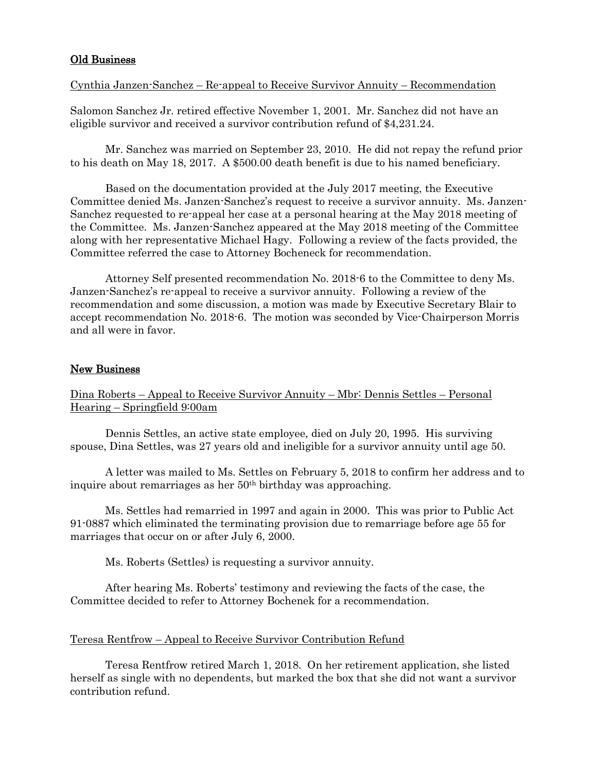# Old Business

# Cynthia Janzen-Sanchez – Re-appeal to Receive Survivor Annuity – Recommendation

Salomon Sanchez Jr. retired effective November 1, 2001. Mr. Sanchez did not have an eligible survivor and received a survivor contribution refund of \$4,231.24.

Mr. Sanchez was married on September 23, 2010. He did not repay the refund prior to his death on May 18, 2017. A \$500.00 death benefit is due to his named beneficiary.

Based on the documentation provided at the July 2017 meeting, the Executive Committee denied Ms. Janzen-Sanchez's request to receive a survivor annuity. Ms. Janzen-Sanchez requested to re-appeal her case at a personal hearing at the May 2018 meeting of the Committee. Ms. Janzen-Sanchez appeared at the May 2018 meeting of the Committee along with her representative Michael Hagy. Following a review of the facts provided, the Committee referred the case to Attorney Bocheneck for recommendation.

Attorney Self presented recommendation No. 2018-6 to the Committee to deny Ms. Janzen-Sanchez's re-appeal to receive a survivor annuity. Following a review of the recommendation and some discussion, a motion was made by Executive Secretary Blair to accept recommendation No. 2018-6. The motion was seconded by Vice-Chairperson Morris and all were in favor.

# New Business

Dina Roberts – Appeal to Receive Survivor Annuity – Mbr: Dennis Settles – Personal Hearing – Springfield 9:00am

Dennis Settles, an active state employee, died on July 20, 1995. His surviving spouse, Dina Settles, was 27 years old and ineligible for a survivor annuity until age 50.

A letter was mailed to Ms. Settles on February 5, 2018 to confirm her address and to inquire about remarriages as her 50<sup>th</sup> birthday was approaching.

Ms. Settles had remarried in 1997 and again in 2000. This was prior to Public Act 91-0887 which eliminated the terminating provision due to remarriage before age 55 for marriages that occur on or after July 6, 2000.

Ms. Roberts (Settles) is requesting a survivor annuity.

After hearing Ms. Roberts' testimony and reviewing the facts of the case, the Committee decided to refer to Attorney Bochenek for a recommendation.

### Teresa Rentfrow – Appeal to Receive Survivor Contribution Refund

Teresa Rentfrow retired March 1, 2018. On her retirement application, she listed herself as single with no dependents, but marked the box that she did not want a survivor contribution refund.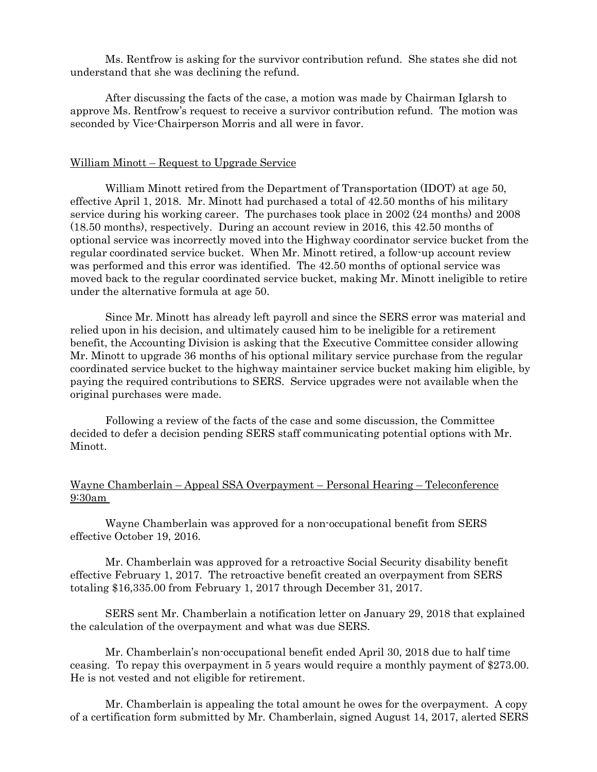Ms. Rentfrow is asking for the survivor contribution refund. She states she did not understand that she was declining the refund.

After discussing the facts of the case, a motion was made by Chairman Iglarsh to approve Ms. Rentfrow's request to receive a survivor contribution refund. The motion was seconded by Vice-Chairperson Morris and all were in favor.

#### William Minott – Request to Upgrade Service

William Minott retired from the Department of Transportation (IDOT) at age 50, effective April 1, 2018. Mr. Minott had purchased a total of 42.50 months of his military service during his working career. The purchases took place in 2002 (24 months) and 2008 (18.50 months), respectively. During an account review in 2016, this 42.50 months of optional service was incorrectly moved into the Highway coordinator service bucket from the regular coordinated service bucket. When Mr. Minott retired, a follow-up account review was performed and this error was identified. The 42.50 months of optional service was moved back to the regular coordinated service bucket, making Mr. Minott ineligible to retire under the alternative formula at age 50.

Since Mr. Minott has already left payroll and since the SERS error was material and relied upon in his decision, and ultimately caused him to be ineligible for a retirement benefit, the Accounting Division is asking that the Executive Committee consider allowing Mr. Minott to upgrade 36 months of his optional military service purchase from the regular coordinated service bucket to the highway maintainer service bucket making him eligible, by paying the required contributions to SERS. Service upgrades were not available when the original purchases were made.

Following a review of the facts of the case and some discussion, the Committee decided to defer a decision pending SERS staff communicating potential options with Mr. Minott.

Wayne Chamberlain – Appeal SSA Overpayment – Personal Hearing – Teleconference 9:30am

Wayne Chamberlain was approved for a non-occupational benefit from SERS effective October 19, 2016.

Mr. Chamberlain was approved for a retroactive Social Security disability benefit effective February 1, 2017. The retroactive benefit created an overpayment from SERS totaling \$16,335.00 from February 1, 2017 through December 31, 2017.

SERS sent Mr. Chamberlain a notification letter on January 29, 2018 that explained the calculation of the overpayment and what was due SERS.

Mr. Chamberlain's non-occupational benefit ended April 30, 2018 due to half time ceasing. To repay this overpayment in 5 years would require a monthly payment of \$273.00. He is not vested and not eligible for retirement.

Mr. Chamberlain is appealing the total amount he owes for the overpayment. A copy of a certification form submitted by Mr. Chamberlain, signed August 14, 2017, alerted SERS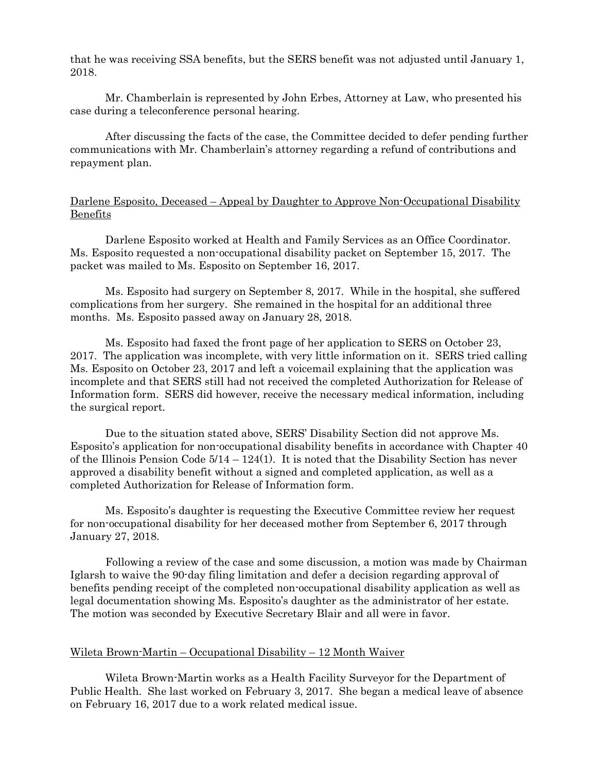that he was receiving SSA benefits, but the SERS benefit was not adjusted until January 1, 2018.

Mr. Chamberlain is represented by John Erbes, Attorney at Law, who presented his case during a teleconference personal hearing.

After discussing the facts of the case, the Committee decided to defer pending further communications with Mr. Chamberlain's attorney regarding a refund of contributions and repayment plan.

## Darlene Esposito, Deceased – Appeal by Daughter to Approve Non-Occupational Disability Benefits

Darlene Esposito worked at Health and Family Services as an Office Coordinator. Ms. Esposito requested a non-occupational disability packet on September 15, 2017. The packet was mailed to Ms. Esposito on September 16, 2017.

Ms. Esposito had surgery on September 8, 2017. While in the hospital, she suffered complications from her surgery. She remained in the hospital for an additional three months. Ms. Esposito passed away on January 28, 2018.

Ms. Esposito had faxed the front page of her application to SERS on October 23, 2017. The application was incomplete, with very little information on it. SERS tried calling Ms. Esposito on October 23, 2017 and left a voicemail explaining that the application was incomplete and that SERS still had not received the completed Authorization for Release of Information form. SERS did however, receive the necessary medical information, including the surgical report.

Due to the situation stated above, SERS' Disability Section did not approve Ms. Esposito's application for non-occupational disability benefits in accordance with Chapter 40 of the Illinois Pension Code  $5/14 - 124(1)$ . It is noted that the Disability Section has never approved a disability benefit without a signed and completed application, as well as a completed Authorization for Release of Information form.

Ms. Esposito's daughter is requesting the Executive Committee review her request for non-occupational disability for her deceased mother from September 6, 2017 through January 27, 2018.

Following a review of the case and some discussion, a motion was made by Chairman Iglarsh to waive the 90-day filing limitation and defer a decision regarding approval of benefits pending receipt of the completed non-occupational disability application as well as legal documentation showing Ms. Esposito's daughter as the administrator of her estate. The motion was seconded by Executive Secretary Blair and all were in favor.

### Wileta Brown-Martin – Occupational Disability – 12 Month Waiver

Wileta Brown-Martin works as a Health Facility Surveyor for the Department of Public Health. She last worked on February 3, 2017. She began a medical leave of absence on February 16, 2017 due to a work related medical issue.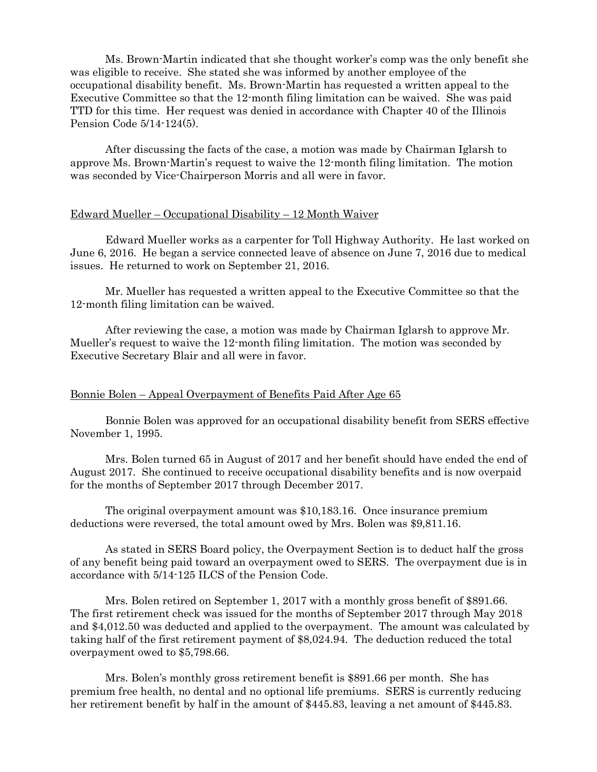Ms. Brown-Martin indicated that she thought worker's comp was the only benefit she was eligible to receive. She stated she was informed by another employee of the occupational disability benefit. Ms. Brown-Martin has requested a written appeal to the Executive Committee so that the 12-month filing limitation can be waived. She was paid TTD for this time. Her request was denied in accordance with Chapter 40 of the Illinois Pension Code 5/14-124(5).

After discussing the facts of the case, a motion was made by Chairman Iglarsh to approve Ms. Brown-Martin's request to waive the 12-month filing limitation. The motion was seconded by Vice-Chairperson Morris and all were in favor.

#### Edward Mueller – Occupational Disability – 12 Month Waiver

Edward Mueller works as a carpenter for Toll Highway Authority. He last worked on June 6, 2016. He began a service connected leave of absence on June 7, 2016 due to medical issues. He returned to work on September 21, 2016.

Mr. Mueller has requested a written appeal to the Executive Committee so that the 12-month filing limitation can be waived.

After reviewing the case, a motion was made by Chairman Iglarsh to approve Mr. Mueller's request to waive the 12-month filing limitation. The motion was seconded by Executive Secretary Blair and all were in favor.

#### Bonnie Bolen – Appeal Overpayment of Benefits Paid After Age 65

Bonnie Bolen was approved for an occupational disability benefit from SERS effective November 1, 1995.

Mrs. Bolen turned 65 in August of 2017 and her benefit should have ended the end of August 2017. She continued to receive occupational disability benefits and is now overpaid for the months of September 2017 through December 2017.

The original overpayment amount was \$10,183.16. Once insurance premium deductions were reversed, the total amount owed by Mrs. Bolen was \$9,811.16.

As stated in SERS Board policy, the Overpayment Section is to deduct half the gross of any benefit being paid toward an overpayment owed to SERS. The overpayment due is in accordance with 5/14-125 ILCS of the Pension Code.

Mrs. Bolen retired on September 1, 2017 with a monthly gross benefit of \$891.66. The first retirement check was issued for the months of September 2017 through May 2018 and \$4,012.50 was deducted and applied to the overpayment. The amount was calculated by taking half of the first retirement payment of \$8,024.94. The deduction reduced the total overpayment owed to \$5,798.66.

Mrs. Bolen's monthly gross retirement benefit is \$891.66 per month. She has premium free health, no dental and no optional life premiums. SERS is currently reducing her retirement benefit by half in the amount of \$445.83, leaving a net amount of \$445.83.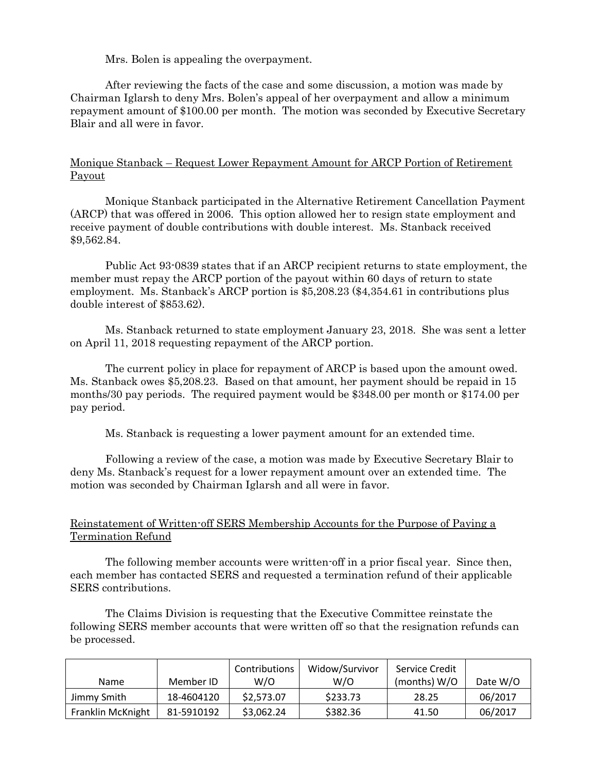Mrs. Bolen is appealing the overpayment.

After reviewing the facts of the case and some discussion, a motion was made by Chairman Iglarsh to deny Mrs. Bolen's appeal of her overpayment and allow a minimum repayment amount of \$100.00 per month. The motion was seconded by Executive Secretary Blair and all were in favor.

## Monique Stanback – Request Lower Repayment Amount for ARCP Portion of Retirement Payout

Monique Stanback participated in the Alternative Retirement Cancellation Payment (ARCP) that was offered in 2006. This option allowed her to resign state employment and receive payment of double contributions with double interest. Ms. Stanback received \$9,562.84.

Public Act 93-0839 states that if an ARCP recipient returns to state employment, the member must repay the ARCP portion of the payout within 60 days of return to state employment. Ms. Stanback's ARCP portion is \$5,208.23 (\$4,354.61 in contributions plus double interest of \$853.62).

Ms. Stanback returned to state employment January 23, 2018. She was sent a letter on April 11, 2018 requesting repayment of the ARCP portion.

The current policy in place for repayment of ARCP is based upon the amount owed. Ms. Stanback owes \$5,208.23. Based on that amount, her payment should be repaid in 15 months/30 pay periods. The required payment would be \$348.00 per month or \$174.00 per pay period.

Ms. Stanback is requesting a lower payment amount for an extended time.

Following a review of the case, a motion was made by Executive Secretary Blair to deny Ms. Stanback's request for a lower repayment amount over an extended time. The motion was seconded by Chairman Iglarsh and all were in favor.

## Reinstatement of Written-off SERS Membership Accounts for the Purpose of Paying a Termination Refund

The following member accounts were written-off in a prior fiscal year. Since then, each member has contacted SERS and requested a termination refund of their applicable SERS contributions.

The Claims Division is requesting that the Executive Committee reinstate the following SERS member accounts that were written off so that the resignation refunds can be processed.

|                   |            | Contributions | Widow/Survivor | Service Credit |          |
|-------------------|------------|---------------|----------------|----------------|----------|
| Name              | Member ID  | W/O           | W/O            | (months) $W/O$ | Date W/O |
| Jimmy Smith       | 18-4604120 | \$2,573.07    | \$233.73       | 28.25          | 06/2017  |
| Franklin McKnight | 81-5910192 | \$3,062.24    | \$382.36       | 41.50          | 06/2017  |